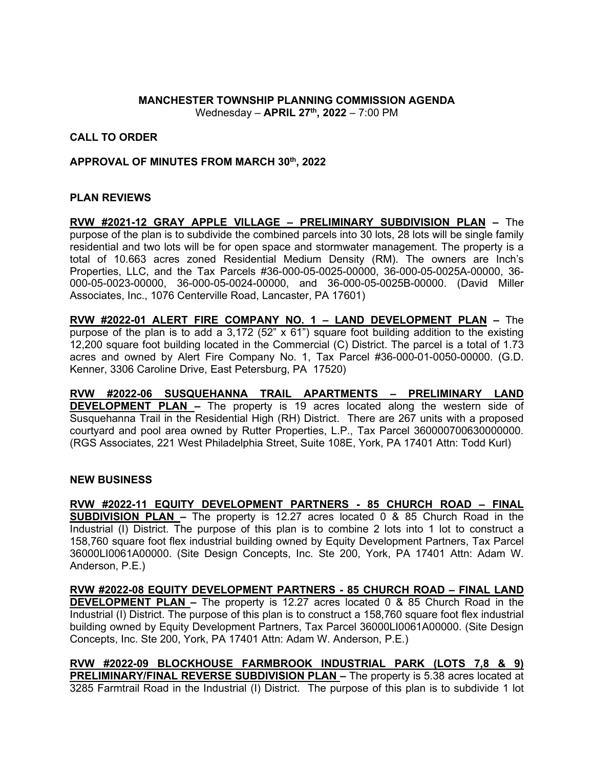## **MANCHESTER TOWNSHIP PLANNING COMMISSION AGENDA** Wednesday – **APRIL 27th, 2022** – 7:00 PM

# **CALL TO ORDER**

## **APPROVAL OF MINUTES FROM MARCH 30th, 2022**

# **PLAN REVIEWS**

**RVW #2021-12 GRAY APPLE VILLAGE – PRELIMINARY SUBDIVISION PLAN –** The purpose of the plan is to subdivide the combined parcels into 30 lots, 28 lots will be single family residential and two lots will be for open space and stormwater management. The property is a total of 10.663 acres zoned Residential Medium Density (RM). The owners are Inch's Properties, LLC, and the Tax Parcels #36-000-05-0025-00000, 36-000-05-0025A-00000, 36- 000-05-0023-00000, 36-000-05-0024-00000, and 36-000-05-0025B-00000. (David Miller Associates, Inc., 1076 Centerville Road, Lancaster, PA 17601)

**RVW #2022-01 ALERT FIRE COMPANY NO. 1 – LAND DEVELOPMENT PLAN –** The purpose of the plan is to add a  $3.172$  (52" x 61") square foot building addition to the existing 12,200 square foot building located in the Commercial (C) District. The parcel is a total of 1.73 acres and owned by Alert Fire Company No. 1, Tax Parcel #36-000-01-0050-00000. (G.D. Kenner, 3306 Caroline Drive, East Petersburg, PA 17520)

**RVW #2022-06 SUSQUEHANNA TRAIL APARTMENTS – PRELIMINARY LAND DEVELOPMENT PLAN –** The property is 19 acres located along the western side of Susquehanna Trail in the Residential High (RH) District. There are 267 units with a proposed courtyard and pool area owned by Rutter Properties, L.P., Tax Parcel 360000700630000000. (RGS Associates, 221 West Philadelphia Street, Suite 108E, York, PA 17401 Attn: Todd Kurl)

#### **NEW BUSINESS**

**RVW #2022-11 EQUITY DEVELOPMENT PARTNERS - 85 CHURCH ROAD – FINAL SUBDIVISION PLAN –** The property is 12.27 acres located 0 & 85 Church Road in the Industrial (I) District. The purpose of this plan is to combine 2 lots into 1 lot to construct a 158,760 square foot flex industrial building owned by Equity Development Partners, Tax Parcel 36000LI0061A00000. (Site Design Concepts, Inc. Ste 200, York, PA 17401 Attn: Adam W. Anderson, P.E.)

**RVW #2022-08 EQUITY DEVELOPMENT PARTNERS - 85 CHURCH ROAD – FINAL LAND DEVELOPMENT PLAN –** The property is 12.27 acres located 0 & 85 Church Road in the Industrial (I) District. The purpose of this plan is to construct a 158,760 square foot flex industrial building owned by Equity Development Partners, Tax Parcel 36000LI0061A00000. (Site Design Concepts, Inc. Ste 200, York, PA 17401 Attn: Adam W. Anderson, P.E.)

**RVW #2022-09 BLOCKHOUSE FARMBROOK INDUSTRIAL PARK (LOTS 7,8 & 9) PRELIMINARY/FINAL REVERSE SUBDIVISION PLAN –** The property is 5.38 acres located at 3285 Farmtrail Road in the Industrial (I) District. The purpose of this plan is to subdivide 1 lot